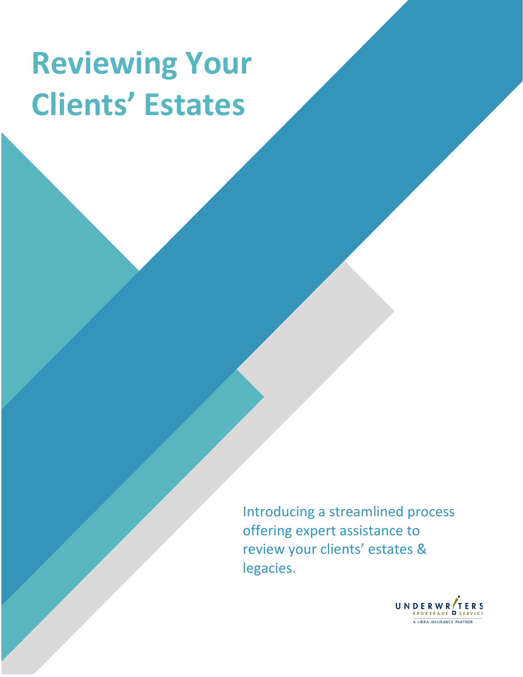# **Reviewing Your Clients' Estates**

Introducing a streamlined process offering expert assistance to review your clients' estates & legacies.

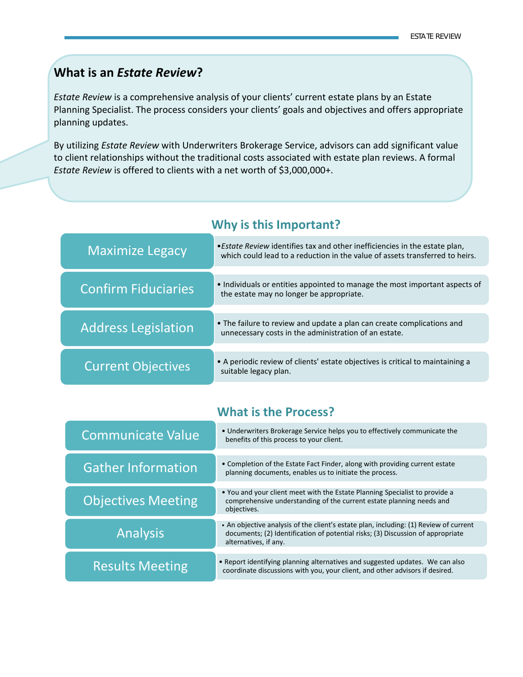### **What is an** *Estate Review***?**

*Estate Review* is a comprehensive analysis of your clients' current estate plans by an Estate Planning Specialist. The process considers your clients' goals and objectives and offers appropriate planning updates.

By utilizing *Estate Review* with Underwriters Brokerage Service, advisors can add significant value to client relationships without the traditional costs associated with estate plan reviews. A formal *Estate Review* is offered to clients with a net worth of \$3,000,000+.

| <b>Maximize Legacy</b>     | • Estate Review identifies tax and other inefficiencies in the estate plan,<br>which could lead to a reduction in the value of assets transferred to heirs. |
|----------------------------|-------------------------------------------------------------------------------------------------------------------------------------------------------------|
|                            |                                                                                                                                                             |
| <b>Confirm Fiduciaries</b> | • Individuals or entities appointed to manage the most important aspects of<br>the estate may no longer be appropriate.                                     |
|                            |                                                                                                                                                             |
| <b>Address Legislation</b> | • The failure to review and update a plan can create complications and<br>unnecessary costs in the administration of an estate.                             |
|                            |                                                                                                                                                             |
| <b>Current Objectives</b>  | • A periodic review of clients' estate objectives is critical to maintaining a<br>suitable legacy plan.                                                     |

**Why is this Important?**

### **What is the Process?**

| <b>Communicate Value</b>  | • Underwriters Brokerage Service helps you to effectively communicate the<br>benefits of this process to your client.                                                                             |
|---------------------------|---------------------------------------------------------------------------------------------------------------------------------------------------------------------------------------------------|
| <b>Gather Information</b> | • Completion of the Estate Fact Finder, along with providing current estate<br>planning documents, enables us to initiate the process.                                                            |
| <b>Objectives Meeting</b> | . You and your client meet with the Estate Planning Specialist to provide a<br>comprehensive understanding of the current estate planning needs and<br>objectives.                                |
| <b>Analysis</b>           | • An objective analysis of the client's estate plan, including: (1) Review of current<br>documents; (2) Identification of potential risks; (3) Discussion of appropriate<br>alternatives, if any. |
| <b>Results Meeting</b>    | • Report identifying planning alternatives and suggested updates. We can also<br>coordinate discussions with you, your client, and other advisors if desired.                                     |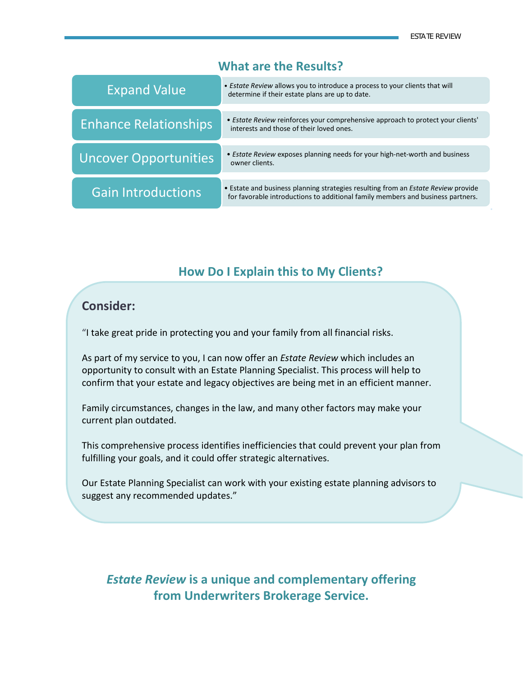**.**

#### **What are the Results?**

| <b>Expand Value</b>          | • Estate Review allows you to introduce a process to your clients that will<br>determine if their estate plans are up to date.                                              |
|------------------------------|-----------------------------------------------------------------------------------------------------------------------------------------------------------------------------|
| <b>Enhance Relationships</b> | • Estate Review reinforces your comprehensive approach to protect your clients'<br>interests and those of their loved ones.                                                 |
| <b>Uncover Opportunities</b> | • <i>Estate Review</i> exposes planning needs for your high-net-worth and business<br>owner clients.                                                                        |
| <b>Gain Introductions</b>    | • Estate and business planning strategies resulting from an <i>Estate Review</i> provide<br>for favorable introductions to additional family members and business partners. |

#### **How Do I Explain this to My Clients?**

#### **Consider:**

"I take great pride in protecting you and your family from all financial risks.

As part of my service to you, I can now offer an *Estate Review* which includes an opportunity to consult with an Estate Planning Specialist. This process will help to confirm that your estate and legacy objectives are being met in an efficient manner.

Family circumstances, changes in the law, and many other factors may make your current plan outdated.

This comprehensive process identifies inefficiencies that could prevent your plan from fulfilling your goals, and it could offer strategic alternatives.

Our Estate Planning Specialist can work with your existing estate planning advisors to suggest any recommended updates."

### *Estate Review* **is a unique and complementary offering from Underwriters Brokerage Service.**